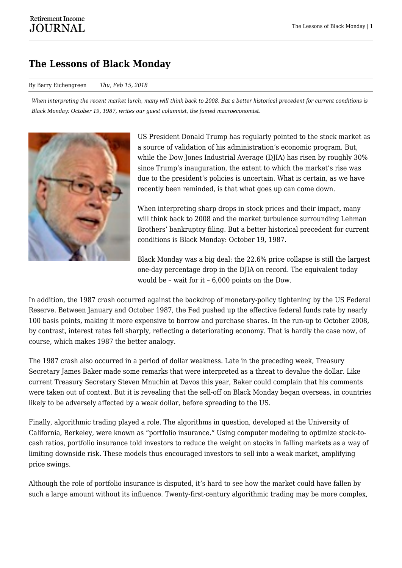## **The Lessons of Black Monday**

## By Barry Eichengreen *Thu, Feb 15, 2018*

*When interpreting the recent market lurch, many will think back to 2008. But a better historical precedent for current conditions is Black Monday: October 19, 1987, writes our guest columnist, the famed macroeconomist.*



US President Donald Trump has regularly pointed to the stock market as a source of validation of his administration's economic program. But, while the Dow Jones Industrial Average (DJIA) has risen by roughly 30% since Trump's inauguration, the extent to which the market's rise was due to the president's policies is uncertain. What is certain, as we have recently been reminded, is that what goes up can come down.

When interpreting sharp drops in stock prices and their impact, many will think back to 2008 and the market turbulence surrounding Lehman Brothers' bankruptcy filing. But a better historical precedent for current conditions is Black Monday: October 19, 1987.

Black Monday was a big deal: the 22.6% price collapse is still the largest one-day percentage drop in the DJIA on record. The equivalent today would be – wait for it – 6,000 points on the Dow.

In addition, the 1987 crash occurred against the backdrop of monetary-policy tightening by the US Federal Reserve. Between January and October 1987, the Fed pushed up the effective federal funds rate by nearly 100 basis points, making it more expensive to borrow and purchase shares. In the run-up to October 2008, by contrast, interest rates fell sharply, reflecting a deteriorating economy. That is hardly the case now, of course, which makes 1987 the better analogy.

The 1987 crash also occurred in a period of dollar weakness. Late in the preceding week, Treasury Secretary James Baker made some remarks that were interpreted as a threat to devalue the dollar. Like current Treasury Secretary Steven Mnuchin at Davos this year, Baker could complain that his comments were taken out of context. But it is revealing that the sell-off on Black Monday began overseas, in countries likely to be adversely affected by a weak dollar, before spreading to the US.

Finally, algorithmic trading played a role. The algorithms in question, developed at the University of California, Berkeley, were known as "portfolio insurance." Using computer modeling to optimize stock-tocash ratios, portfolio insurance told investors to reduce the weight on stocks in falling markets as a way of limiting downside risk. These models thus encouraged investors to sell into a weak market, amplifying price swings.

Although the role of portfolio insurance is disputed, it's hard to see how the market could have fallen by such a large amount without its influence. Twenty-first-century algorithmic trading may be more complex,